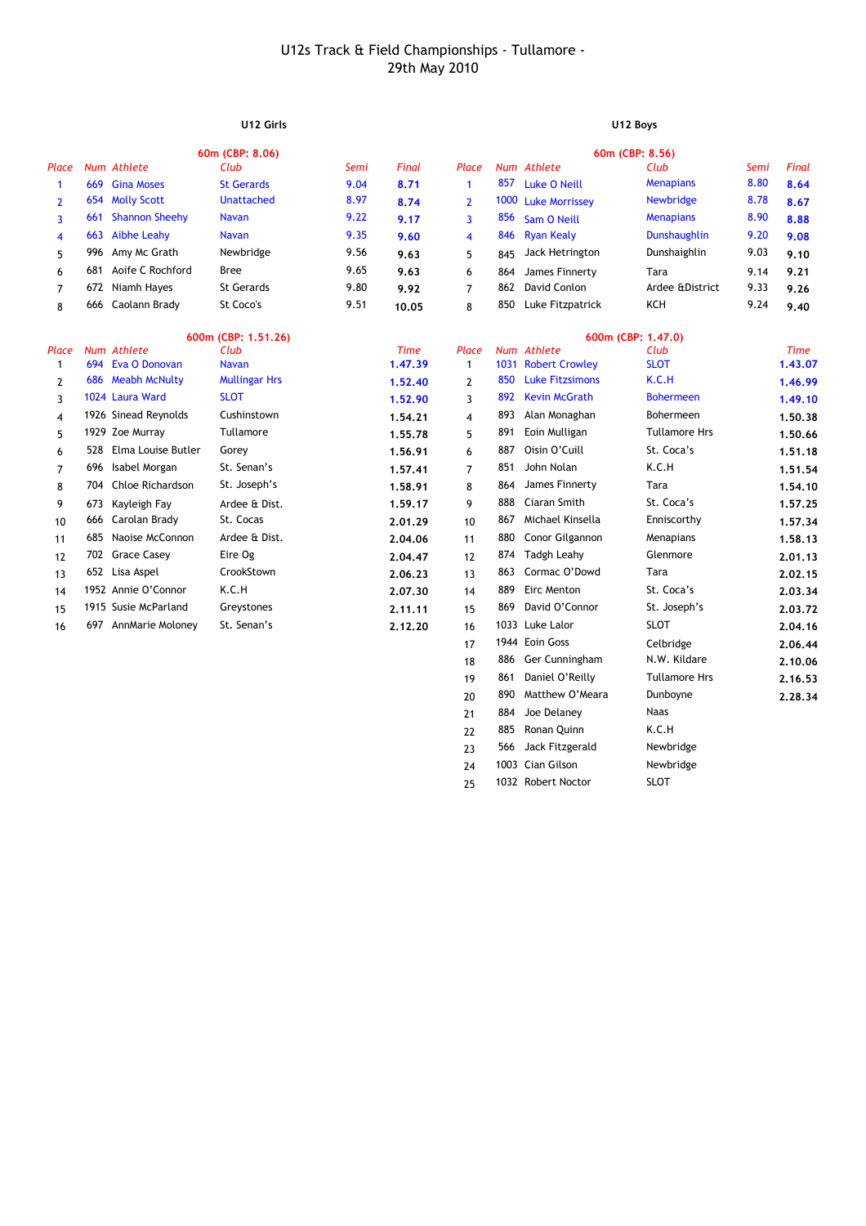# **U12 Girls U12 Boys**

20 890 **2.28.34** Matthew O'Meara Dunboyne

Naas

Newbridge

21 884 Joe Delaney

23 566 Jack Fitzgerald

22 885 K.C.H Ronan Quinn

24 1003 Cian Gilson Newbridge 25 1032 SLOT Robert Noctor

|                | 60m (CBP: 8.06) |                        |                      |      |             | 60m (CBP: 8.56) |      |                        |                      |      |             |
|----------------|-----------------|------------------------|----------------------|------|-------------|-----------------|------|------------------------|----------------------|------|-------------|
| Place          |                 | Num Athlete            | Club                 | Semi | Final       | Place           |      | Num Athlete            | Club                 | Semi | Final       |
| 1              | 669             | <b>Gina Moses</b>      | <b>St Gerards</b>    | 9.04 | 8.71        | $\mathbf{1}$    | 857  | <b>Luke O Neill</b>    | <b>Menapians</b>     | 8.80 | 8.64        |
| $\overline{2}$ |                 | 654 Molly Scott        | <b>Unattached</b>    | 8.97 | 8.74        | $\overline{2}$  | 1000 | <b>Luke Morrissey</b>  | Newbridge            | 8.78 | 8.67        |
| 3              | 661             | <b>Shannon Sheehy</b>  | <b>Navan</b>         | 9.22 | 9.17        | 3               | 856  | Sam O Neill            | <b>Menapians</b>     | 8.90 | 8.88        |
| 4              | 663             | <b>Aibhe Leahy</b>     | <b>Navan</b>         | 9.35 | 9.60        | 4               | 846  | <b>Ryan Kealy</b>      | <b>Dunshaughlin</b>  | 9.20 | 9.08        |
| 5              | 996             | Amy Mc Grath           | Newbridge            | 9.56 | 9.63        | 5               | 845  | Jack Hetrington        | Dunshaighlin         | 9.03 | 9.10        |
| 6              | 681             | Aoife C Rochford       | <b>Bree</b>          | 9.65 | 9.63        | 6               | 864  | James Finnerty         | Tara                 | 9.14 | 9.21        |
| 7              | 672             | Niamh Hayes            | <b>St Gerards</b>    | 9.80 | 9.92        | $\overline{7}$  | 862  | David Conlon           | Ardee &District      | 9.33 | 9.26        |
| 8              |                 | 666 Caolann Brady      | St Coco's            | 9.51 | 10.05       | 8               | 850  | Luke Fitzpatrick       | KCH                  | 9.24 | 9.40        |
|                |                 |                        | 600m (CBP: 1.51.26)  |      |             |                 |      |                        | 600m (CBP: 1.47.0)   |      |             |
| Place          |                 | Num Athlete            | Club                 |      | <b>Time</b> | Place           |      | Num Athlete            | Club                 |      | <b>Time</b> |
| 1              |                 | 694 Eva O Donovan      | <b>Navan</b>         |      | 1.47.39     | $\mathbf{1}$    |      | 1031 Robert Crowley    | <b>SLOT</b>          |      | 1.43.07     |
| 2              |                 | 686 Meabh McNulty      | <b>Mullingar Hrs</b> |      | 1.52.40     | 2               | 850  | <b>Luke Fitzsimons</b> | K.C.H                |      | 1.46.99     |
| 3              |                 | 1024 Laura Ward        | <b>SLOT</b>          |      | 1.52.90     | 3               | 892  | <b>Kevin McGrath</b>   | <b>Bohermeen</b>     |      | 1.49.10     |
| 4              |                 | 1926 Sinead Reynolds   | Cushinstown          |      | 1.54.21     | 4               | 893  | Alan Monaghan          | Bohermeen            |      | 1.50.38     |
| 5              |                 | 1929 Zoe Murray        | Tullamore            |      | 1.55.78     | 5               | 891  | Eoin Mulligan          | <b>Tullamore Hrs</b> |      | 1.50.66     |
| 6              |                 | 528 Elma Louise Butler | Gorey                |      | 1.56.91     | 6               | 887  | Oisin O'Cuill          | St. Coca's           |      | 1.51.18     |
| 7              |                 | 696 Isabel Morgan      | St. Senan's          |      | 1.57.41     | $\overline{7}$  | 851  | John Nolan             | K.C.H                |      | 1.51.54     |
| 8              |                 | 704 Chloe Richardson   | St. Joseph's         |      | 1.58.91     | 8               | 864  | James Finnerty         | Tara                 |      | 1.54.10     |
| 9              | 673             | Kayleigh Fay           | Ardee & Dist.        |      | 1.59.17     | 9               | 888  | Ciaran Smith           | St. Coca's           |      | 1.57.25     |
| 10             | 666             | Carolan Brady          | St. Cocas            |      | 2.01.29     | 10              | 867  | Michael Kinsella       | Enniscorthy          |      | 1.57.34     |
| 11             |                 | 685 Naoise McConnon    | Ardee & Dist.        |      | 2.04.06     | 11              | 880  | Conor Gilgannon        | Menapians            |      | 1.58.13     |
| 12             |                 | 702 Grace Casey        | Eire Og              |      | 2.04.47     | 12              | 874  | Tadgh Leahy            | Glenmore             |      | 2.01.13     |
| 13             |                 | 652 Lisa Aspel         | CrookStown           |      | 2.06.23     | 13              | 863  | Cormac O'Dowd          | Tara                 |      | 2.02.15     |
| 14             |                 | 1952 Annie O'Connor    | K.C.H                |      | 2.07.30     | 14              | 889  | Eirc Menton            | St. Coca's           |      | 2.03.34     |
| 15             |                 | 1915 Susie McParland   | Greystones           |      | 2.11.11     | 15              | 869  | David O'Connor         | St. Joseph's         |      | 2.03.72     |
| 16             |                 | 697 AnnMarie Moloney   | St. Senan's          |      | 2.12.20     | 16              |      | 1033 Luke Lalor        | <b>SLOT</b>          |      | 2.04.16     |
|                |                 |                        |                      |      |             | 17              |      | 1944 Eoin Goss         | Celbridge            |      | 2.06.44     |
|                |                 |                        |                      |      |             | 18              | 886  | Ger Cunningham         | N.W. Kildare         |      | 2.10.06     |
|                |                 |                        |                      |      |             | 19              | 861  | Daniel O'Reilly        | <b>Tullamore Hrs</b> |      | 2.16.53     |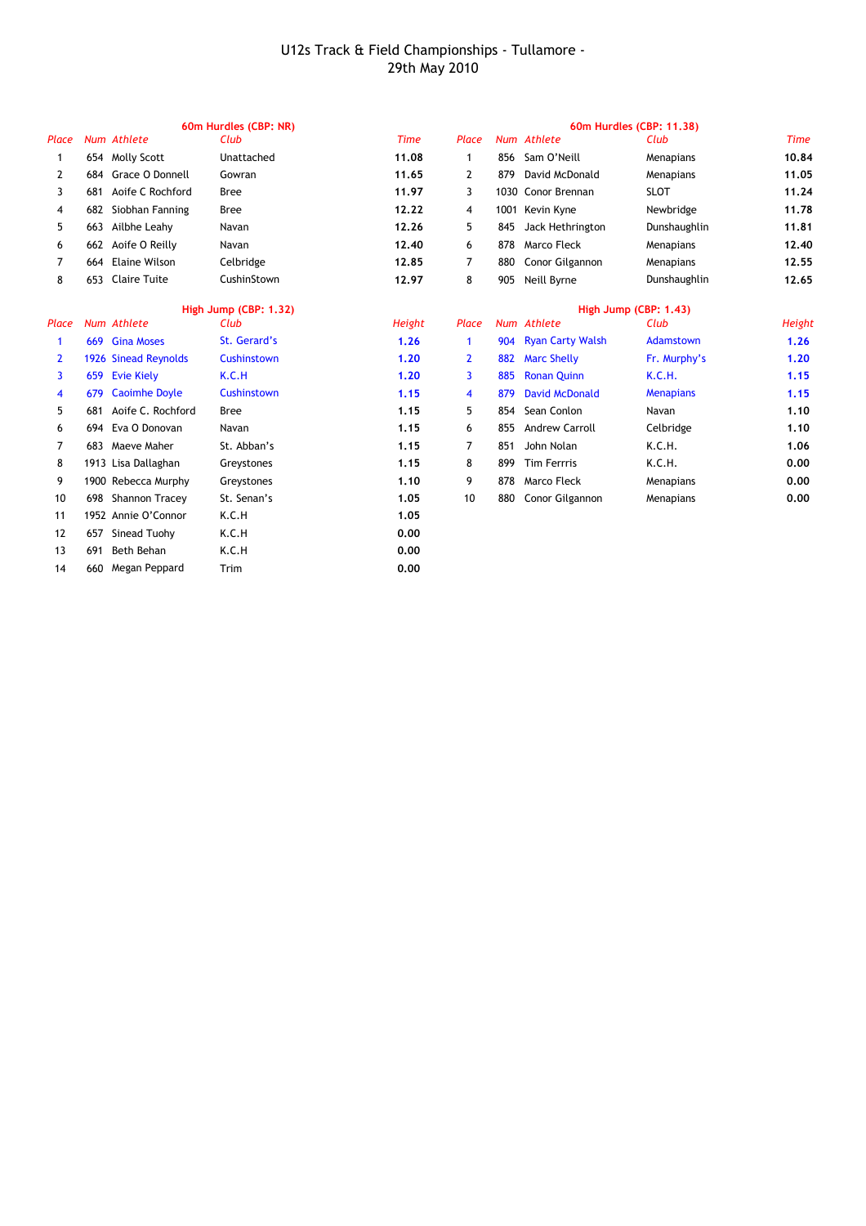|                | 60m Hurdles (CBP: NR) |                      |              |             |              | 60m Hurdles (CBP: 11.38) |                         |                  |             |  |
|----------------|-----------------------|----------------------|--------------|-------------|--------------|--------------------------|-------------------------|------------------|-------------|--|
| Place          |                       | Num Athlete          | Club         | <b>Time</b> | Place        |                          | Num Athlete             | Club             | <b>Time</b> |  |
| 1              |                       | 654 Molly Scott      | Unattached   | 11.08       | 1            | 856                      | Sam O'Neill             | Menapians        | 10.84       |  |
| 2              | 684                   | Grace O Donnell      | Gowran       | 11.65       | 2            | 879                      | David McDonald          | Menapians        | 11.05       |  |
| 3              | 681                   | Aoife C Rochford     | <b>Bree</b>  | 11.97       | 3            |                          | 1030 Conor Brennan      | <b>SLOT</b>      | 11.24       |  |
| 4              | 682                   | Siobhan Fanning      | <b>Bree</b>  | 12.22       | 4            | 1001                     | Kevin Kyne              | Newbridge        | 11.78       |  |
| 5              | 663                   | Ailbhe Leahy         | Navan        | 12.26       | 5            | 845                      | Jack Hethrington        | Dunshaughlin     | 11.81       |  |
| 6              | 662                   | Aoife O Reilly       | Navan        | 12,40       | 6            | 878                      | Marco Fleck             | Menapians        | 12,40       |  |
| 7              | 664                   | <b>Elaine Wilson</b> | Celbridge    | 12,85       | 7            | 880                      | Conor Gilgannon         | Menapians        | 12.55       |  |
| 8              | 653                   | <b>Claire Tuite</b>  | CushinStown  | 12.97       | 8            | 905                      | Neill Byrne             | Dunshaughlin     | 12.65       |  |
|                | High Jump (CBP: 1.32) |                      |              |             |              | High Jump (CBP: 1.43)    |                         |                  |             |  |
| Place          |                       | Num Athlete          | Club         | Height      | Place        |                          | Num Athlete             | Club             | Height      |  |
| 1              | 669                   | <b>Gina Moses</b>    | St. Gerard's | 1.26        | 1            | 904                      | <b>Ryan Carty Walsh</b> | Adamstown        | 1.26        |  |
| $\overline{2}$ |                       | 1926 Sinead Reynolds | Cushinstown  | 1.20        | $\mathbf{2}$ | 882                      | <b>Marc Shelly</b>      | Fr. Murphy's     | 1,20        |  |
| 3              | 659                   | <b>Evie Kiely</b>    | K.C.H        | 1.20        | 3            | 885                      | <b>Ronan Quinn</b>      | <b>K.C.H.</b>    | 1.15        |  |
| 4              | 679                   | <b>Caoimhe Doyle</b> | Cushinstown  | 1.15        | 4            | 879                      | <b>David McDonald</b>   | <b>Menapians</b> | 1.15        |  |
| 5              | 681                   | Aoife C. Rochford    | <b>Bree</b>  | 1.15        | 5            | 854                      | Sean Conlon             | Navan            | 1.10        |  |
| 6              | 694                   | Eva O Donovan        | Navan        | 1.15        | 6            | 855                      | <b>Andrew Carroll</b>   | Celbridge        | 1.10        |  |
| 7              | 683                   | Maeve Maher          | St. Abban's  | 1.15        | 7            | 851                      | John Nolan              | K.C.H.           | 1.06        |  |
| 8              |                       | 1913 Lisa Dallaghan  | Greystones   | 1.15        | 8            | 899                      | <b>Tim Ferrris</b>      | K.C.H.           | 0.00        |  |
| 9              |                       | 1900 Rebecca Murphy  | Greystones   | 1.10        | 9            | 878                      | Marco Fleck             | Menapians        | 0.00        |  |
| 10             | 698                   | Shannon Tracey       | St. Senan's  | 1.05        | 10           | 880                      | Conor Gilgannon         | Menapians        | 0.00        |  |
| 11             |                       | 1952 Annie O'Connor  | K.C.H        | 1.05        |              |                          |                         |                  |             |  |
| 12             | 657                   | Sinead Tuohy         | K.C.H        | 0.00        |              |                          |                         |                  |             |  |
| 13             | 691                   | Beth Behan           | K.C.H        | 0.00        |              |                          |                         |                  |             |  |
| 14             | 660                   | Megan Peppard        | Trim         | 0.00        |              |                          |                         |                  |             |  |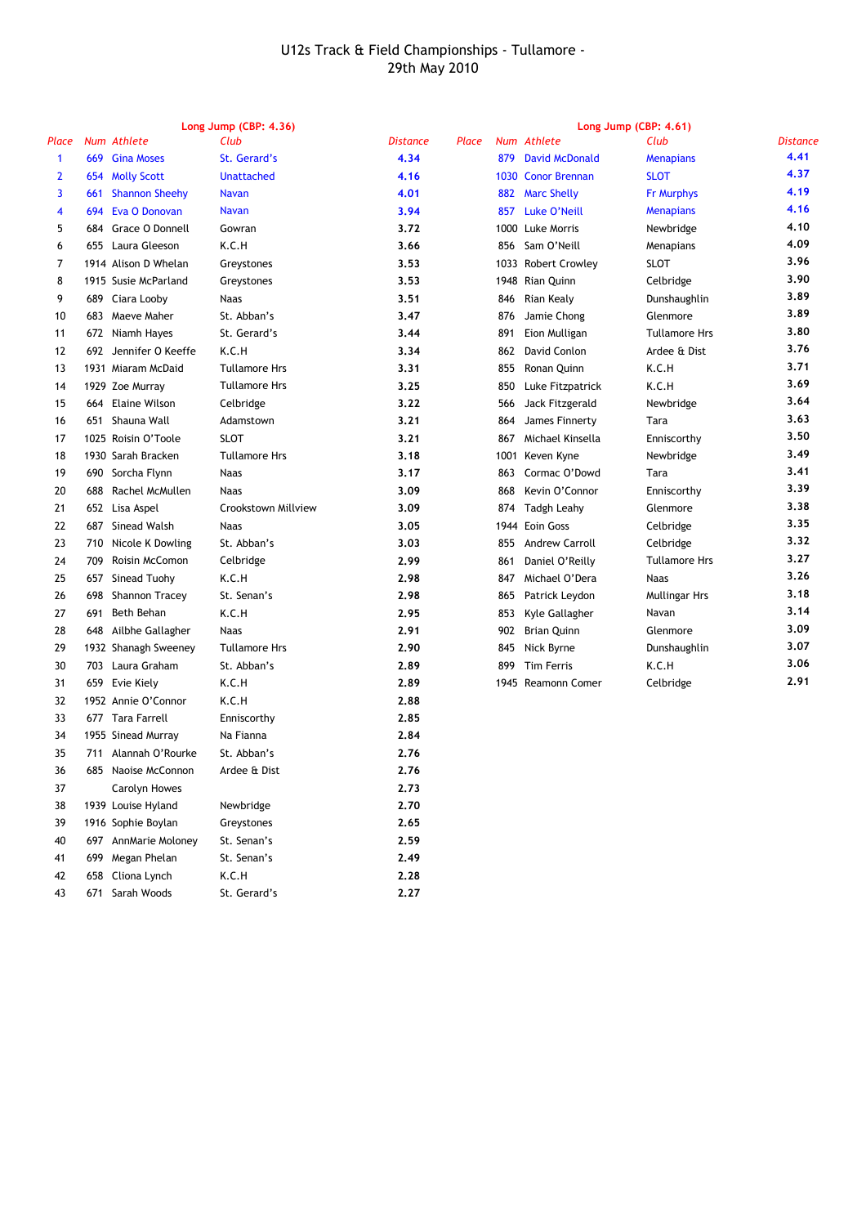|                | Long Jump (CBP: 4.36) |                       |                      |                 |       |      |                       | Long Jump (CBP: 4.61) |                 |  |
|----------------|-----------------------|-----------------------|----------------------|-----------------|-------|------|-----------------------|-----------------------|-----------------|--|
| Place          |                       | Num Athlete           | Club                 | <b>Distance</b> | Place |      | Num Athlete           | Club                  | <b>Distance</b> |  |
| $\mathbf{1}$   | 669                   | <b>Gina Moses</b>     | St. Gerard's         | 4.34            |       | 879  | <b>David McDonald</b> | <b>Menapians</b>      | 4.41            |  |
| 2              |                       | 654 Molly Scott       | <b>Unattached</b>    | 4.16            |       |      | 1030 Conor Brennan    | <b>SLOT</b>           | 4.37            |  |
| 3              | 661                   | <b>Shannon Sheehy</b> | <b>Navan</b>         | 4.01            |       | 882  | <b>Marc Shelly</b>    | <b>Fr Murphys</b>     | 4.19            |  |
| 4              | 694                   | Eva O Donovan         | <b>Navan</b>         | 3.94            |       | 857  | Luke O'Neill          | <b>Menapians</b>      | 4.16            |  |
| 5              |                       | 684 Grace O Donnell   | Gowran               | 3.72            |       |      | 1000 Luke Morris      | Newbridge             | 4.10            |  |
| 6              |                       | 655 Laura Gleeson     | K.C.H                | 3.66            |       | 856  | Sam O'Neill           | Menapians             | 4.09            |  |
| $\overline{7}$ |                       | 1914 Alison D Whelan  | Greystones           | 3.53            |       |      | 1033 Robert Crowley   | <b>SLOT</b>           | 3.96            |  |
| 8              |                       | 1915 Susie McParland  | Greystones           | 3.53            |       |      | 1948 Rian Quinn       | Celbridge             | 3.90            |  |
| 9              | 689                   | Ciara Looby           | <b>Naas</b>          | 3.51            |       | 846  | Rian Kealy            | Dunshaughlin          | 3.89            |  |
| 10             | 683                   | Maeve Maher           | St. Abban's          | 3.47            |       | 876  | Jamie Chong           | Glenmore              | 3.89            |  |
| 11             |                       | 672 Niamh Hayes       | St. Gerard's         | 3.44            |       | 891  | Eion Mulligan         | <b>Tullamore Hrs</b>  | 3.80            |  |
| 12             |                       | 692 Jennifer O Keeffe | K.C.H                | 3.34            |       | 862  | David Conlon          | Ardee & Dist          | 3.76            |  |
| 13             |                       | 1931 Miaram McDaid    | <b>Tullamore Hrs</b> | 3.31            |       | 855  | Ronan Quinn           | K.C.H                 | 3.71            |  |
| 14             |                       | 1929 Zoe Murray       | <b>Tullamore Hrs</b> | 3.25            |       | 850  | Luke Fitzpatrick      | K.C.H                 | 3.69            |  |
| 15             | 664                   | <b>Elaine Wilson</b>  | Celbridge            | 3.22            |       | 566  | Jack Fitzgerald       | Newbridge             | 3.64            |  |
| 16             | 651                   | Shauna Wall           | Adamstown            | 3.21            |       | 864  | James Finnerty        | Tara                  | 3.63            |  |
| 17             |                       | 1025 Roisin O'Toole   | <b>SLOT</b>          | 3.21            |       | 867  | Michael Kinsella      | Enniscorthy           | 3.50            |  |
| 18             |                       | 1930 Sarah Bracken    | <b>Tullamore Hrs</b> | 3.18            |       | 1001 | Keven Kyne            | Newbridge             | 3.49            |  |
| 19             | 690                   | Sorcha Flynn          | <b>Naas</b>          | 3.17            |       | 863  | Cormac O'Dowd         | Tara                  | 3.41            |  |
| 20             | 688                   | Rachel McMullen       | <b>Naas</b>          | 3.09            |       | 868  | Kevin O'Connor        | Enniscorthy           | 3.39            |  |
| 21             |                       | 652 Lisa Aspel        | Crookstown Millview  | 3.09            |       | 874  | <b>Tadgh Leahy</b>    | Glenmore              | 3.38            |  |
| 22             |                       | 687 Sinead Walsh      | <b>Naas</b>          | 3.05            |       | 1944 | Eoin Goss             | Celbridge             | 3.35            |  |
| 23             |                       | 710 Nicole K Dowling  | St. Abban's          | 3.03            |       | 855  | <b>Andrew Carroll</b> | Celbridge             | 3.32            |  |
| 24             | 709                   | Roisin McComon        | Celbridge            | 2.99            |       | 861  | Daniel O'Reilly       | <b>Tullamore Hrs</b>  | 3.27            |  |
| 25             | 657                   | Sinead Tuohy          | K.C.H                | 2.98            |       | 847  | Michael O'Dera        | <b>Naas</b>           | 3.26            |  |
| 26             | 698                   | Shannon Tracey        | St. Senan's          | 2.98            |       | 865  | Patrick Leydon        | Mullingar Hrs         | 3.18            |  |
| 27             | 691                   | Beth Behan            | K.C.H                | 2.95            |       | 853  | Kyle Gallagher        | Navan                 | 3.14            |  |
| 28             | 648                   | Ailbhe Gallagher      | <b>Naas</b>          | 2.91            |       | 902  | <b>Brian Quinn</b>    | Glenmore              | 3.09            |  |
| 29             |                       | 1932 Shanagh Sweeney  | <b>Tullamore Hrs</b> | 2.90            |       | 845  | Nick Byrne            | Dunshaughlin          | 3.07            |  |
| 30             |                       | 703 Laura Graham      | St. Abban's          | 2.89            |       | 899  | <b>Tim Ferris</b>     | K.C.H                 | 3.06            |  |
| 31             |                       | 659 Evie Kiely        | K.C.H                | 2.89            |       |      | 1945 Reamonn Comer    | Celbridge             | 2.91            |  |
| 32             |                       | 1952 Annie O'Connor   | K.C.H                | 2.88            |       |      |                       |                       |                 |  |
| 33             |                       | 677 Tara Farrell      | Enniscorthy          | 2.85            |       |      |                       |                       |                 |  |
| 34             |                       | 1955 Sinead Murray    | Na Fianna            | 2.84            |       |      |                       |                       |                 |  |
| 35             | 711                   | Alannah O'Rourke      | St. Abban's          | 2.76            |       |      |                       |                       |                 |  |
| 36             |                       | 685 Naoise McConnon   | Ardee & Dist         | 2.76            |       |      |                       |                       |                 |  |
| 37             |                       | Carolyn Howes         |                      | 2.73            |       |      |                       |                       |                 |  |
| 38             |                       | 1939 Louise Hyland    | Newbridge            | 2.70            |       |      |                       |                       |                 |  |
| 39             |                       | 1916 Sophie Boylan    | Greystones           | 2.65            |       |      |                       |                       |                 |  |
| 40             |                       | 697 AnnMarie Moloney  | St. Senan's          | 2.59            |       |      |                       |                       |                 |  |
| 41             | 699                   | Megan Phelan          | St. Senan's          | 2.49            |       |      |                       |                       |                 |  |
| 42             |                       | 658 Cliona Lynch      | K.C.H                | 2.28            |       |      |                       |                       |                 |  |

43 671 Sarah Woods **2.27**

St. Gerard's